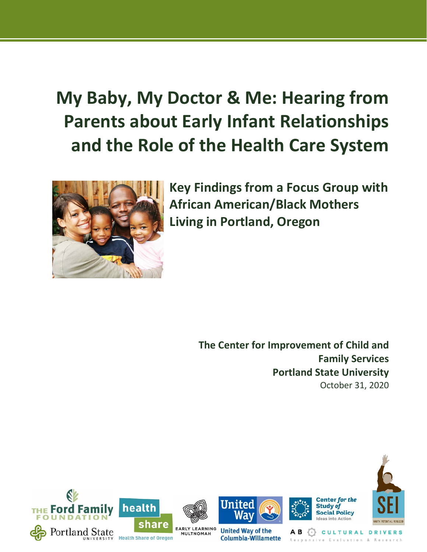# **My Baby, My Doctor & Me: Hearing from Parents about Early Infant Relationships and the Role of the Health Care System**



**Key Findings from a Focus Group with African American/Black Mothers Living in Portland, Oregon**

> **The Center for Improvement of Child and Family Services Portland State University** October 31, 2020

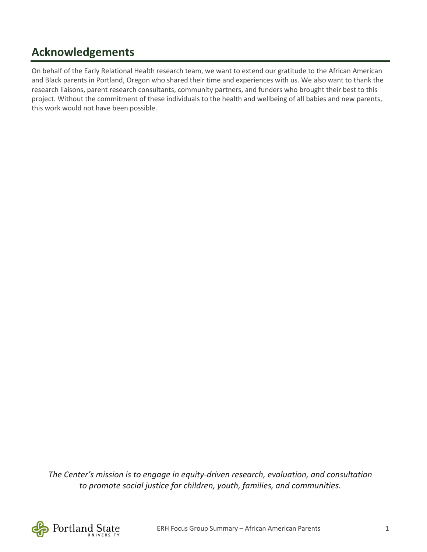## **Acknowledgements**

On behalf of the Early Relational Health research team, we want to extend our gratitude to the African American and Black parents in Portland, Oregon who shared their time and experiences with us. We also want to thank the research liaisons, parent research consultants, community partners, and funders who brought their best to this project. Without the commitment of these individuals to the health and wellbeing of all babies and new parents, this work would not have been possible.

*The Center's mission is to engage in equity-driven research, evaluation, and consultation to promote social justice for children, youth, families, and communities.*

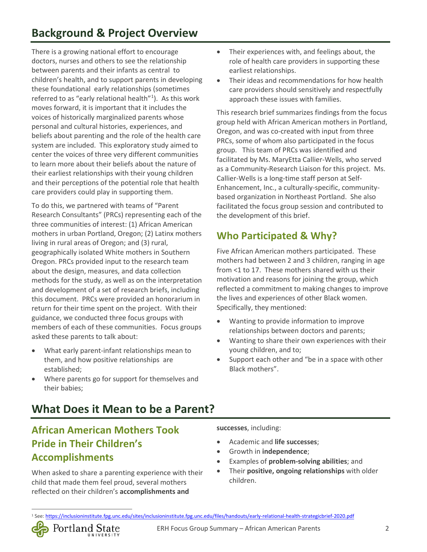There is a [growing national effort](file:///%5C%5Cpsu%5Cresources%5CStaff%5CGSSW%5CCWP%5CEarly%20Relational%20Health%5CReports%5CSEI%5COur%20project%20is%20seeking%20to%20partner%20with%20parents%20of%20infants%20and%20toddlers%20to%20advise%20us%20on%20how%20we%20can%20best%20partner%20with%20parents%20from%20their%20community%20to%20learn%20how%20they%20feel%20about%20their%20experiences%20with%20the%20health%20care%20system,%20and%20how%20%E2%80%93%20or%20whether%20-%20health%20care%20providers%20could%20provide%20better%20support%20from%20them%20in%20their%20role%20as%20parents.) to encourage doctors, nurses and others to see the relationship between parents and their infants as central to children's health, and to support parents in developing these foundational early relationships (sometimes referred to as "early relational health"<sup>[1](#page-2-0)</sup>). As this work moves forward, it is important that it includes the voices of historically marginalized parents whose personal and cultural histories, experiences, and beliefs about parenting and the role of the health care system are included. This exploratory study aimed to center the voices of three very different communities to learn more about their beliefs about the nature of their earliest relationships with their young children and their perceptions of the potential role that health care providers could play in supporting them.

To do this, we partnered with teams of "Parent Research Consultants" (PRCs) representing each of the three communities of interest: (1) African American mothers in urban Portland, Oregon; (2) Latinx mothers living in rural areas of Oregon; and (3) rural, geographically isolated White mothers in Southern Oregon. PRCs provided input to the research team about the design, measures, and data collection methods for the study, as well as on the interpretation and development of a set of research briefs, including this document. PRCs were provided an honorarium in return for their time spent on the project. With their guidance, we conducted three focus groups with members of each of these communities. Focus groups asked these parents to talk about:

- What early parent-infant relationships mean to them, and how positive relationships are established;
- Where parents go for support for themselves and their babies;
- Their experiences with, and feelings about, the role of health care providers in supporting these earliest relationships.
- Their ideas and recommendations for how health care providers should sensitively and respectfully approach these issues with families.

This research brief summarizes findings from the focus group held with African American mothers in Portland, Oregon, and was co-created with input from three PRCs, some of whom also participated in the focus group. This team of PRCs was identified and facilitated by Ms. MaryEtta Callier-Wells, who served as a Community-Research Liaison for this project. Ms. Callier-Wells is a long-time staff person at Self-Enhancement, Inc., a culturally-specific, communitybased organization in Northeast Portland. She also facilitated the focus group session and contributed to the development of this brief.

### **Who Participated & Why?**

Five African American mothers participated. These mothers had between 2 and 3 children, ranging in age from <1 to 17. These mothers shared with us their motivation and reasons for joining the group, which reflected a commitment to making changes to improve the lives and experiences of other Black women. Specifically, they mentioned:

- Wanting to provide information to improve relationships between doctors and parents;
- Wanting to share their own experiences with their young children, and to;
- Support each other and "be in a space with other Black mothers".

### **What Does it Mean to be a Parent?**

### **African American Mothers Took Pride in Their Children's Accomplishments**

Portland State

When asked to share a parenting experience with their child that made them feel proud, several mothers reflected on their children's **accomplishments and** 

**successes**, including:

- Academic and **life successes**;
- Growth in **independence**;
- Examples of **problem-solving abilities**; and
- Their **positive, ongoing relationships** with older children.

<span id="page-2-0"></span><sup>1</sup> See[: https://inclusioninstitute.fpg.unc.edu/sites/inclusioninstitute.fpg.unc.edu/files/handouts/early-relational-health-strategicbrief-2020.pdf](https://inclusioninstitute.fpg.unc.edu/sites/inclusioninstitute.fpg.unc.edu/files/handouts/early-relational-health-strategicbrief-2020.pdf)

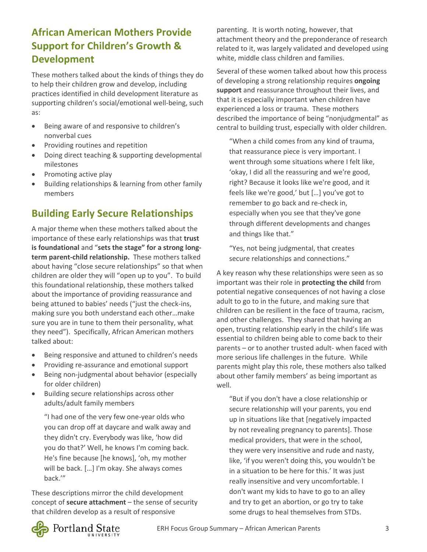### **African American Mothers Provide Support for Children's Growth & Development**

These mothers talked about the kinds of things they do to help their children grow and develop, including practices identified in child development literature as supporting children's social/emotional well-being, such as:

- Being aware of and responsive to children's nonverbal cues
- Providing routines and repetition
- Doing direct teaching & supporting developmental milestones
- Promoting active play
- Building relationships & learning from other family members

#### **Building Early Secure Relationships**

A major theme when these mothers talked about the importance of these early relationships was that **trust is foundational** and "**sets the stage" for a strong longterm parent-child relationship.** These mothers talked about having "close secure relationships" so that when children are older they will "open up to you". To build this foundational relationship, these mothers talked about the importance of providing reassurance and being attuned to babies' needs ("just the check-ins, making sure you both understand each other…make sure you are in tune to them their personality, what they need"). Specifically, African American mothers talked about:

- Being responsive and attuned to children's needs
- Providing re-assurance and emotional support
- Being non-judgmental about behavior (especially for older children)
- Building secure relationships across other adults/adult family members

"I had one of the very few one-year olds who you can drop off at daycare and walk away and they didn't cry. Everybody was like, 'how did you do that?' Well, he knows I'm coming back. He's fine because [he knows], 'oh, my mother will be back. […] I'm okay. She always comes back.'"

These descriptions mirror the child development concept of **secure attachment** – the sense of security that children develop as a result of responsive

parenting. It is worth noting, however, that attachment theory and the preponderance of research related to it, was largely validated and developed using white, middle class children and families.

Several of these women talked about how this process of developing a strong relationship requires **ongoing support** and reassurance throughout their lives, and that it is especially important when children have experienced a loss or trauma. These mothers described the importance of being "nonjudgmental" as central to building trust, especially with older children.

"When a child comes from any kind of trauma, that reassurance piece is very important. I went through some situations where I felt like, 'okay, I did all the reassuring and we're good, right? Because it looks like we're good, and it feels like we're good,' but […] you've got to remember to go back and re-check in, especially when you see that they've gone through different developments and changes and things like that."

"Yes, not being judgmental, that creates secure relationships and connections."

A key reason why these relationships were seen as so important was their role in **protecting the child** from potential negative consequences of not having a close adult to go to in the future, and making sure that children can be resilient in the face of trauma, racism, and other challenges. They shared that having an open, trusting relationship early in the child's life was essential to children being able to come back to their parents – or to another trusted adult- when faced with more serious life challenges in the future. While parents might play this role, these mothers also talked about other family members' as being important as well.

"But if you don't have a close relationship or secure relationship will your parents, you end up in situations like that [negatively impacted by not revealing pregnancy to parents]. Those medical providers, that were in the school, they were very insensitive and rude and nasty, like, 'if you weren't doing this, you wouldn't be in a situation to be here for this.' It was just really insensitive and very uncomfortable. I don't want my kids to have to go to an alley and try to get an abortion, or go try to take some drugs to heal themselves from STDs.

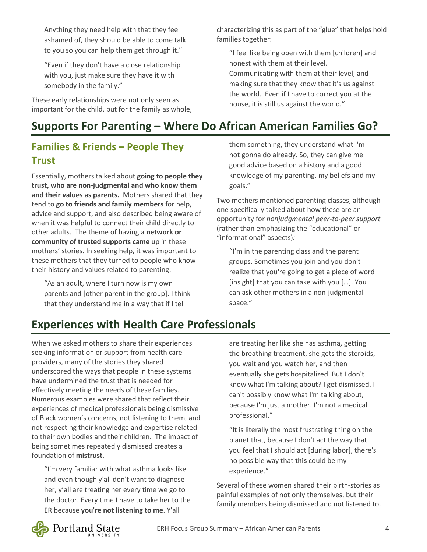Anything they need help with that they feel ashamed of, they should be able to come talk to you so you can help them get through it."

"Even if they don't have a close relationship with you, just make sure they have it with somebody in the family."

These early relationships were not only seen as important for the child, but for the family as whole, characterizing this as part of the "glue" that helps hold families together:

"I feel like being open with them [children] and honest with them at their level. Communicating with them at their level, and making sure that they know that it's us against the world. Even if I have to correct you at the house, it is still us against the world."

# **Supports For Parenting – Where Do African American Families Go?**

### **Families & Friends – People They Trust**

Essentially, mothers talked about **going to people they trust, who are non-judgmental and who know them and their values as parents.** Mothers shared that they tend to **go to friends and family members** for help, advice and support, and also described being aware of when it was helpful to connect their child directly to other adults. The theme of having a **network or community of trusted supports came** up in these mothers' stories. In seeking help, it was important to these mothers that they turned to people who know their history and values related to parenting:

"As an adult, where I turn now is my own parents and [other parent in the group]. I think that they understand me in a way that if I tell

them something, they understand what I'm not gonna do already. So, they can give me good advice based on a history and a good knowledge of my parenting, my beliefs and my goals."

Two mothers mentioned parenting classes, although one specifically talked about how these are an opportunity for *nonjudgmental peer-to-peer support* (rather than emphasizing the "educational" or "informational" aspects)*:* 

"I'm in the parenting class and the parent groups. Sometimes you join and you don't realize that you're going to get a piece of word [insight] that you can take with you […]. You can ask other mothers in a non-judgmental space."

# **Experiences with Health Care Professionals**

When we asked mothers to share their experiences seeking information or support from health care providers, many of the stories they shared underscored the ways that people in these systems have undermined the trust that is needed for effectively meeting the needs of these families. Numerous examples were shared that reflect their experiences of medical professionals being dismissive of Black women's concerns, not listening to them, and not respecting their knowledge and expertise related to their own bodies and their children. The impact of being sometimes repeatedly dismissed creates a foundation of **mistrust**.

"I'm very familiar with what asthma looks like and even though y'all don't want to diagnose her, y'all are treating her every time we go to the doctor. Every time I have to take her to the ER because **you're not listening to me**. Y'all

are treating her like she has asthma, getting the breathing treatment, she gets the steroids, you wait and you watch her, and then eventually she gets hospitalized. But I don't know what I'm talking about? I get dismissed. I can't possibly know what I'm talking about, because I'm just a mother. I'm not a medical professional."

"It is literally the most frustrating thing on the planet that, because I don't act the way that you feel that I should act [during labor], there's no possible way that **this** could be my experience."

Several of these women shared their birth-stories as painful examples of not only themselves, but their family members being dismissed and not listened to.

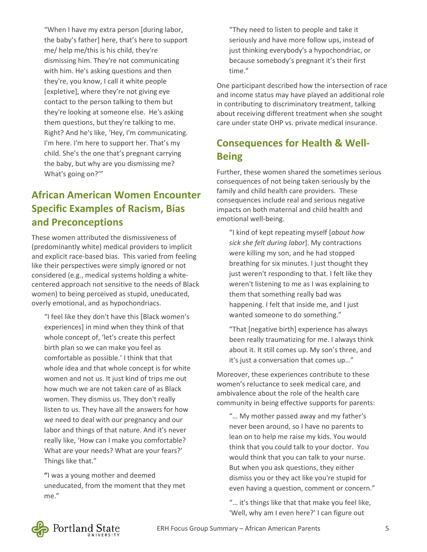"When I have my extra person [during labor, the baby's father] here, that's here to support me/ help me/this is his child, they're dismissing him. They're not communicating with him. He's asking questions and then they're, you know, I call it white people [expletive], where they're not giving eye contact to the person talking to them but they're looking at someone else. He's asking them questions, but they're talking to me. Right? And he's like, 'Hey, I'm communicating. I'm here. I'm here to support her. That's my child. She's the one that's pregnant carrying the baby, but why are you dismissing me? What's going on?'"

#### **African American Women Encounter Specific Examples of Racism, Bias and Preconceptions**

These women attributed the dismissiveness of (predominantly white) medical providers to implicit and explicit race-based bias. This varied from feeling like their perspectives were simply ignored or not considered (e.g., medical systems holding a whitecentered approach not sensitive to the needs of Black women) to being perceived as stupid, uneducated, overly emotional, and as hypochondriacs.

"I feel like they don't have this [Black women's experiences] in mind when they think of that whole concept of, 'let's create this perfect birth plan so we can make you feel as comfortable as possible.' I think that that whole idea and that whole concept is for white women and not us. It just kind of trips me out how much we are not taken care of as Black women. They dismiss us. They don't really listen to us. They have all the answers for how we need to deal with our pregnancy and our labor and things of that nature. And it's never really like, 'How can I make you comfortable? What are your needs? What are your fears?' Things like that."

**"**I was a young mother and deemed uneducated, from the moment that they met me."

"They need to listen to people and take it seriously and have more follow ups, instead of just thinking everybody's a hypochondriac, or because somebody's pregnant it's their first time."

One participant described how the intersection of race and income status may have played an additional role in contributing to discriminatory treatment, talking about receiving different treatment when she sought care under state OHP vs. private medical insurance.

### **Consequences for Health & Well-Being**

Further, these women shared the sometimes serious consequences of not being taken seriously by the family and child health care providers. These consequences include real and serious negative impacts on both maternal and child health and emotional well-being.

"I kind of kept repeating myself [*about how sick she felt during labor*]. My contractions were killing my son, and he had stopped breathing for six minutes. I just thought they just weren't responding to that. I felt like they weren't listening to me as I was explaining to them that something really bad was happening. I felt that inside me, and I just wanted someone to do something."

"That [negative birth] experience has always been really traumatizing for me. I always think about it. It still comes up. My son's three, and it's just a conversation that comes up…"

Moreover, these experiences contribute to these women's reluctance to seek medical care, and ambivalence about the role of the health care community in being effective supports for parents:

"… My mother passed away and my father's never been around, so I have no parents to lean on to help me raise my kids. You would think that you could talk to your doctor. You would think that you can talk to your nurse. But when you ask questions, they either dismiss you or they act like you're stupid for even having a question, comment or concern."

"… it's things like that that make you feel like, 'Well, why am I even here?' I can figure out

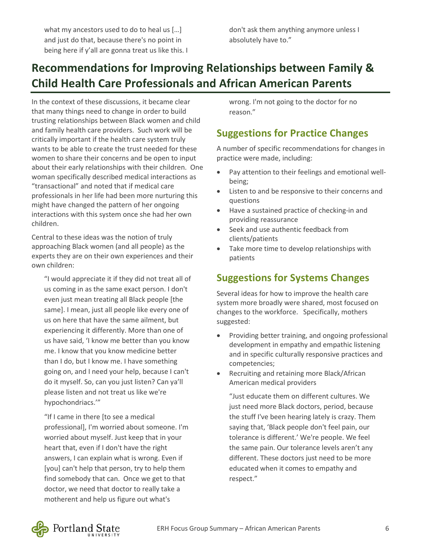what my ancestors used to do to heal us [...] and just do that, because there's no point in being here if y'all are gonna treat us like this. I

### **Recommendations for Improving Relationships between Family & Child Health Care Professionals and African American Parents**

In the context of these discussions, it became clear that many things need to change in order to build trusting relationships between Black women and child and family health care providers. Such work will be critically important if the health care system truly wants to be able to create the trust needed for these women to share their concerns and be open to input about their early relationships with their children. One woman specifically described medical interactions as "transactional" and noted that if medical care professionals in her life had been more nurturing this might have changed the pattern of her ongoing interactions with this system once she had her own children.

Central to these ideas was the notion of truly approaching Black women (and all people) as the experts they are on their own experiences and their own children:

"I would appreciate it if they did not treat all of us coming in as the same exact person. I don't even just mean treating all Black people [the same]. I mean, just all people like every one of us on here that have the same ailment, but experiencing it differently. More than one of us have said, 'I know me better than you know me. I know that you know medicine better than I do, but I know me. I have something going on, and I need your help, because I can't do it myself. So, can you just listen? Can ya'll please listen and not treat us like we're hypochondriacs.'"

"If I came in there [to see a medical professional], I'm worried about someone. I'm worried about myself. Just keep that in your heart that, even if I don't have the right answers, I can explain what is wrong. Even if [you] can't help that person, try to help them find somebody that can. Once we get to that doctor, we need that doctor to really take a motherent and help us figure out what's

wrong. I'm not going to the doctor for no reason."

#### **Suggestions for Practice Changes**

A number of specific recommendations for changes in practice were made, including:

- Pay attention to their feelings and emotional wellbeing;
- Listen to and be responsive to their concerns and questions
- Have a sustained practice of checking-in and providing reassurance
- Seek and use authentic feedback from clients/patients
- Take more time to develop relationships with patients

#### **Suggestions for Systems Changes**

Several ideas for how to improve the health care system more broadly were shared, most focused on changes to the workforce. Specifically, mothers suggested:

- Providing better training, and ongoing professional development in empathy and empathic listening and in specific culturally responsive practices and competencies;
- Recruiting and retaining more Black/African American medical providers

"Just educate them on different cultures. We just need more Black doctors, period, because the stuff I've been hearing lately is crazy. Them saying that, 'Black people don't feel pain, our tolerance is different.' We're people. We feel the same pain. Our tolerance levels aren't any different. These doctors just need to be more educated when it comes to empathy and respect."

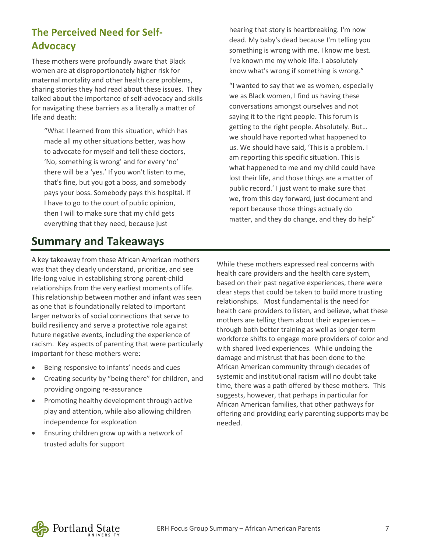### **The Perceived Need for Self-Advocacy**

These mothers were profoundly aware that Black women are at disproportionately higher risk for maternal mortality and other health care problems, sharing stories they had read about these issues. They talked about the importance of self-advocacy and skills for navigating these barriers as a literally a matter of life and death:

"What I learned from this situation, which has made all my other situations better, was how to advocate for myself and tell these doctors, 'No, something is wrong' and for every 'no' there will be a 'yes.' If you won't listen to me, that's fine, but you got a boss, and somebody pays your boss. Somebody pays this hospital. If I have to go to the court of public opinion, then I will to make sure that my child gets everything that they need, because just

### **Summary and Takeaways**

hearing that story is heartbreaking. I'm now dead. My baby's dead because I'm telling you something is wrong with me. I know me best. I've known me my whole life. I absolutely know what's wrong if something is wrong."

"I wanted to say that we as women, especially we as Black women, I find us having these conversations amongst ourselves and not saying it to the right people. This forum is getting to the right people. Absolutely. But… we should have reported what happened to us. We should have said, 'This is a problem. I am reporting this specific situation. This is what happened to me and my child could have lost their life, and those things are a matter of public record.' I just want to make sure that we, from this day forward, just document and report because those things actually do matter, and they do change, and they do help"

A key takeaway from these African American mothers was that they clearly understand, prioritize, and see life-long value in establishing strong parent-child relationships from the very earliest moments of life. This relationship between mother and infant was seen as one that is foundationally related to important larger networks of social connections that serve to build resiliency and serve a protective role against future negative events, including the experience of racism. Key aspects of parenting that were particularly important for these mothers were:

- Being responsive to infants' needs and cues
- Creating security by "being there" for children, and providing ongoing re-assurance
- Promoting healthy development through active play and attention, while also allowing children independence for exploration
- Ensuring children grow up with a network of trusted adults for support

While these mothers expressed real concerns with health care providers and the health care system, based on their past negative experiences, there were clear steps that could be taken to build more trusting relationships. Most fundamental is the need for health care providers to listen, and believe, what these mothers are telling them about their experiences – through both better training as well as longer-term workforce shifts to engage more providers of color and with shared lived experiences. While undoing the damage and mistrust that has been done to the African American community through decades of systemic and institutional racism will no doubt take time, there was a path offered by these mothers. This suggests, however, that perhaps in particular for African American families, that other pathways for offering and providing early parenting supports may be needed.